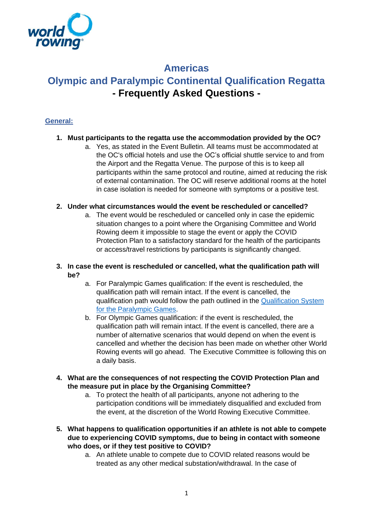

# **Americas**

# **Olympic and Paralympic Continental Qualification Regatta - Frequently Asked Questions -**

# **General:**

## **1. Must participants to the regatta use the accommodation provided by the OC?**

a. Yes, as stated in the Event Bulletin. All teams must be accommodated at the OC's official hotels and use the OC's official shuttle service to and from the Airport and the Regatta Venue. The purpose of this is to keep all participants within the same protocol and routine, aimed at reducing the risk of external contamination. The OC will reserve additional rooms at the hotel in case isolation is needed for someone with symptoms or a positive test.

## **2. Under what circumstances would the event be rescheduled or cancelled?**

- a. The event would be rescheduled or cancelled only in case the epidemic situation changes to a point where the Organising Committee and World Rowing deem it impossible to stage the event or apply the COVID Protection Plan to a satisfactory standard for the health of the participants or access/travel restrictions by participants is significantly changed.
- **3. In case the event is rescheduled or cancelled, what the qualification path will be?**
	- a. For Paralympic Games qualification: If the event is rescheduled, the qualification path will remain intact. If the event is cancelled, the qualification path would follow the path outlined in the [Qualification System](https://worldrowing-admin.soticcloud.net/wp-content/uploads/2020/12/2020_04_30RO_QG_Tokyo_v4.2_Neutral.pdf)  [for the Paralympic Games.](https://worldrowing-admin.soticcloud.net/wp-content/uploads/2020/12/2020_04_30RO_QG_Tokyo_v4.2_Neutral.pdf)
	- b. For Olympic Games qualification: if the event is rescheduled, the qualification path will remain intact. If the event is cancelled, there are a number of alternative scenarios that would depend on when the event is cancelled and whether the decision has been made on whether other World Rowing events will go ahead. The Executive Committee is following this on a daily basis.
- **4. What are the consequences of not respecting the COVID Protection Plan and the measure put in place by the Organising Committee?**
	- a. To protect the health of all participants, anyone not adhering to the participation conditions will be immediately disqualified and excluded from the event, at the discretion of the World Rowing Executive Committee.
- **5. What happens to qualification opportunities if an athlete is not able to compete due to experiencing COVID symptoms, due to being in contact with someone who does, or if they test positive to COVID?**
	- a. An athlete unable to compete due to COVID related reasons would be treated as any other medical substation/withdrawal. In the case of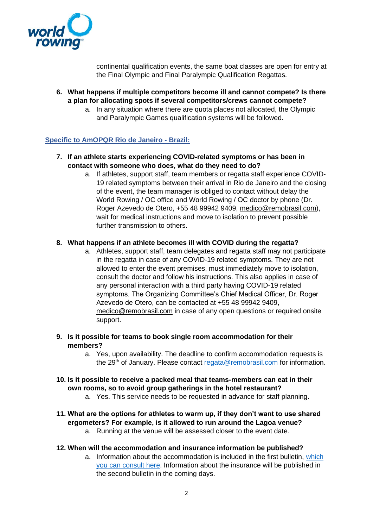

continental qualification events, the same boat classes are open for entry at the Final Olympic and Final Paralympic Qualification Regattas.

- **6. What happens if multiple competitors become ill and cannot compete? Is there a plan for allocating spots if several competitors/crews cannot compete?**
	- a. In any situation where there are quota places not allocated, the Olympic and Paralympic Games qualification systems will be followed.

#### **Specific to AmOPQR Rio de Janeiro - Brazil:**

- **7. If an athlete starts experiencing COVID-related symptoms or has been in contact with someone who does, what do they need to do?**
	- a. If athletes, support staff, team members or regatta staff experience COVID-19 related symptoms between their arrival in Rio de Janeiro and the closing of the event, the team manager is obliged to contact without delay the World Rowing / OC office and World Rowing / OC doctor by phone (Dr. Roger Azevedo de Otero, +55 48 99942 9409, [medico@remobrasil.com\)](mailto:medico@remobrasil.com), wait for medical instructions and move to isolation to prevent possible further transmission to others.

#### **8. What happens if an athlete becomes ill with COVID during the regatta?**

- a. Athletes, support staff, team delegates and regatta staff may not participate in the regatta in case of any COVID-19 related symptoms. They are not allowed to enter the event premises, must immediately move to isolation, consult the doctor and follow his instructions. This also applies in case of any personal interaction with a third party having COVID-19 related symptoms. The Organizing Committee's Chief Medical Officer, Dr. Roger Azevedo de Otero, can be contacted at +55 48 99942 9409, [medico@remobrasil.com](mailto:medico@remobrasil.com) in case of any open questions or required onsite support.
- **9. Is it possible for teams to book single room accommodation for their members?** 
	- a. Yes, upon availability. The deadline to confirm accommodation requests is the 29<sup>th</sup> of January. Please contact [regata@remobrasil.com](mailto:regata@remobrasil.com) for information.
- **10. Is it possible to receive a packed meal that teams-members can eat in their own rooms, so to avoid group gatherings in the hotel restaurant?**
	- a. Yes. This service needs to be requested in advance for staff planning.
- **11. What are the options for athletes to warm up, if they don't want to use shared ergometers? For example, is it allowed to run around the Lagoa venue?**
	- a. Running at the venue will be assessed closer to the event date.
- **12. When will the accommodation and insurance information be published?**
	- a. Information about the accommodation is included in the first bulletin, [which](http://www.remobrasil.com/rio2021)  [you can consult here.](http://www.remobrasil.com/rio2021) Information about the insurance will be published in the second bulletin in the coming days.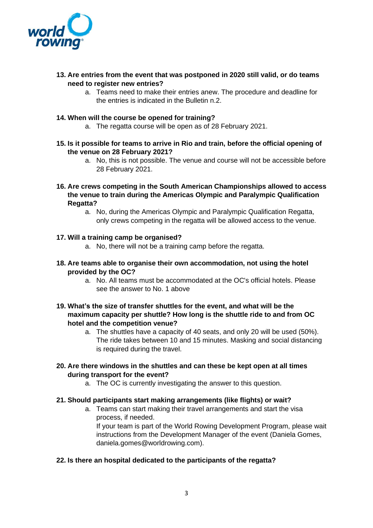

- **13. Are entries from the event that was postponed in 2020 still valid, or do teams need to register new entries?**
	- a. Teams need to make their entries anew. The procedure and deadline for the entries is indicated in the Bulletin n.2.
- **14. When will the course be opened for training?** 
	- a. The regatta course will be open as of 28 February 2021.
- **15. Is it possible for teams to arrive in Rio and train, before the official opening of the venue on 28 February 2021?** 
	- a. No, this is not possible. The venue and course will not be accessible before 28 February 2021.
- **16. Are crews competing in the South American Championships allowed to access the venue to train during the Americas Olympic and Paralympic Qualification Regatta?**
	- a. No, during the Americas Olympic and Paralympic Qualification Regatta, only crews competing in the regatta will be allowed access to the venue.

#### **17. Will a training camp be organised?**

- a. No, there will not be a training camp before the regatta.
- **18. Are teams able to organise their own accommodation, not using the hotel provided by the OC?**
	- a. No. All teams must be accommodated at the OC's official hotels. Please see the answer to No. 1 above
- **19. What's the size of transfer shuttles for the event, and what will be the maximum capacity per shuttle? How long is the shuttle ride to and from OC hotel and the competition venue?**
	- a. The shuttles have a capacity of 40 seats, and only 20 will be used (50%). The ride takes between 10 and 15 minutes. Masking and social distancing is required during the travel.
- **20. Are there windows in the shuttles and can these be kept open at all times during transport for the event?**
	- a. The OC is currently investigating the answer to this question.

#### **21. Should participants start making arrangements (like flights) or wait?**

a. Teams can start making their travel arrangements and start the visa process, if needed. If your team is part of the World Rowing Development Program, please wait instructions from the Development Manager of the event (Daniela Gomes, daniela.gomes@worldrowing.com).

#### **22. Is there an hospital dedicated to the participants of the regatta?**